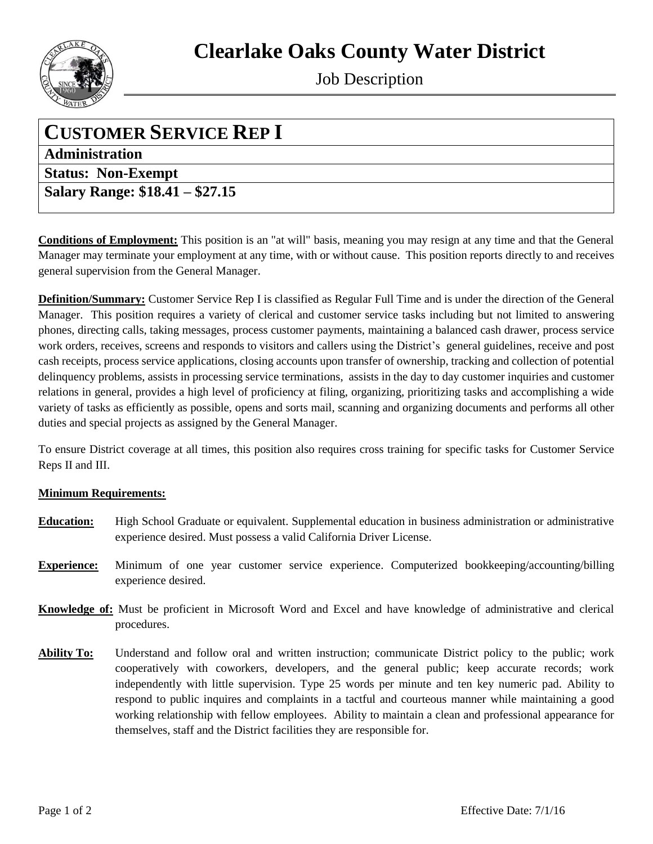

Job Description

## **CUSTOMER SERVICE REP I**

**Administration**

**Status: Non-Exempt** 

**Salary Range: \$18.41 – \$27.15**

**Conditions of Employment:** This position is an "at will" basis, meaning you may resign at any time and that the General Manager may terminate your employment at any time, with or without cause. This position reports directly to and receives general supervision from the General Manager.

**Definition/Summary:** Customer Service Rep I is classified as Regular Full Time and is under the direction of the General Manager. This position requires a variety of clerical and customer service tasks including but not limited to answering phones, directing calls, taking messages, process customer payments, maintaining a balanced cash drawer, process service work orders, receives, screens and responds to visitors and callers using the District's general guidelines, receive and post cash receipts, process service applications, closing accounts upon transfer of ownership, tracking and collection of potential delinquency problems, assists in processing service terminations, assists in the day to day customer inquiries and customer relations in general, provides a high level of proficiency at filing, organizing, prioritizing tasks and accomplishing a wide variety of tasks as efficiently as possible, opens and sorts mail, scanning and organizing documents and performs all other duties and special projects as assigned by the General Manager.

To ensure District coverage at all times, this position also requires cross training for specific tasks for Customer Service Reps II and III.

## **Minimum Requirements:**

- **Education:** High School Graduate or equivalent. Supplemental education in business administration or administrative experience desired. Must possess a valid California Driver License.
- **Experience:** Minimum of one year customer service experience. Computerized bookkeeping/accounting/billing experience desired.
- **Knowledge of:** Must be proficient in Microsoft Word and Excel and have knowledge of administrative and clerical procedures.
- **Ability To:** Understand and follow oral and written instruction; communicate District policy to the public; work cooperatively with coworkers, developers, and the general public; keep accurate records; work independently with little supervision. Type 25 words per minute and ten key numeric pad. Ability to respond to public inquires and complaints in a tactful and courteous manner while maintaining a good working relationship with fellow employees. Ability to maintain a clean and professional appearance for themselves, staff and the District facilities they are responsible for.